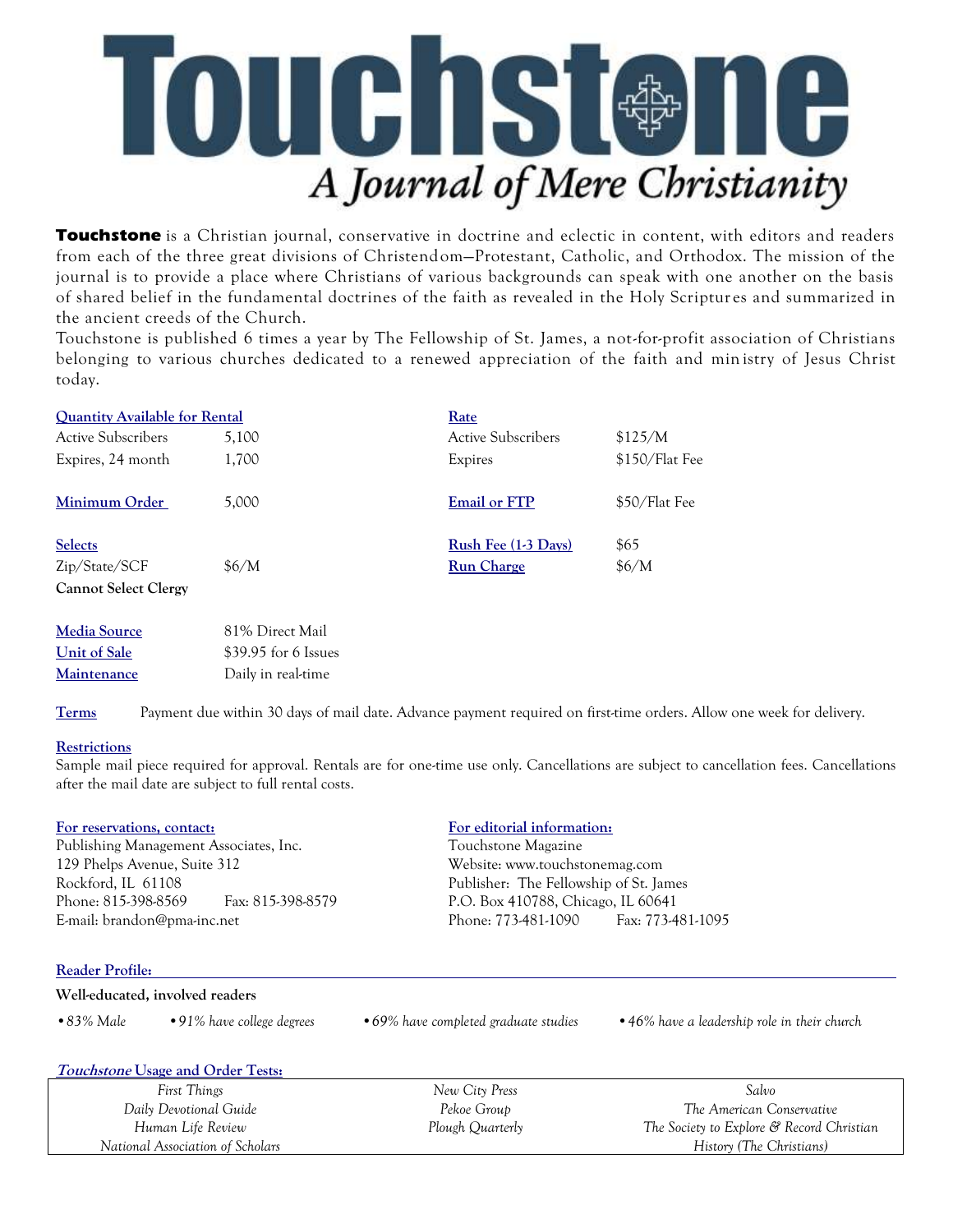

**Touchstone** is a Christian journal, conservative in doctrine and eclectic in content, with editors and readers from each of the three great divisions of Christendom—Protestant, Catholic, and Orthodox. The mission of the journal is to provide a place where Christians of various backgrounds can speak with one another on the basis of shared belief in the fundamental doctrines of the faith as revealed in the Holy Scriptur es and summarized in the ancient creeds of the Church.

Touchstone is published 6 times a year by The Fellowship of St. James, a not-for-profit association of Christians belonging to various churches dedicated to a renewed appreciation of the faith and min istry of Jesus Christ today.

| <b>Quantity Available for Rental</b> |       | Rate                      |                |
|--------------------------------------|-------|---------------------------|----------------|
| <b>Active Subscribers</b>            | 5.100 | <b>Active Subscribers</b> | \$125/M        |
| Expires, 24 month                    | 1.700 | Expires                   | \$150/Flat Fee |
| Minimum Order                        | 5.000 | <b>Email or FTP</b>       | \$50/Flat Fee  |
| <b>Selects</b>                       |       | Rush Fee (1-3 Days)       | \$65           |
| Zip/State/SCF                        | \$6/M | <b>Run Charge</b>         | \$6/M          |
| <b>Cannot Select Clergy</b>          |       |                           |                |

| <b>Media Source</b> | 81% Direct Mail      |
|---------------------|----------------------|
| Unit of Sale        | \$39.95 for 6 Issues |
| <b>Maintenance</b>  | Daily in real-time   |

**Terms** Payment due within 30 days of mail date. Advance payment required on first-time orders. Allow one week for delivery.

## **Restrictions**

Sample mail piece required for approval. Rentals are for one-time use only. Cancellations are subject to cancellation fees. Cancellations after the mail date are subject to full rental costs.

## **For reservations, contact: For editorial information:**

Publishing Management Associates, Inc. Touchstone Magazine 129 Phelps Avenue, Suite 312 Website: www.touchstonemag.com Rockford, IL 61108 Publisher: The Fellowship of St. James Phone: 815-398-8569 Fax: 815-398-8579 P.O. Box 410788, Chicago, IL 60641 E-mail: brandon@pma-inc.net Phone: 773-481-1090 Fax: 773-481-1095

*Human Life Review National Association of Scholars*

*The Society to Explore & Record Christian History (The Christians)*

## **Reader Profile:**

| Well-educated, involved readers |                                   |                                       |                                              |  |  |  |
|---------------------------------|-----------------------------------|---------------------------------------|----------------------------------------------|--|--|--|
| $\bullet$ 83% Male              | $\cdot$ 91% have college degrees  | • 69% have completed graduate studies | • 46% have a leadership role in their church |  |  |  |
|                                 | Touchstone Usage and Order Tests: |                                       |                                              |  |  |  |
| First Things                    |                                   | New City Press                        | Salvo                                        |  |  |  |
| Daily Devotional Guide          |                                   | Pekoe Group                           | The American Conservative                    |  |  |  |

*Plough Quarterly*